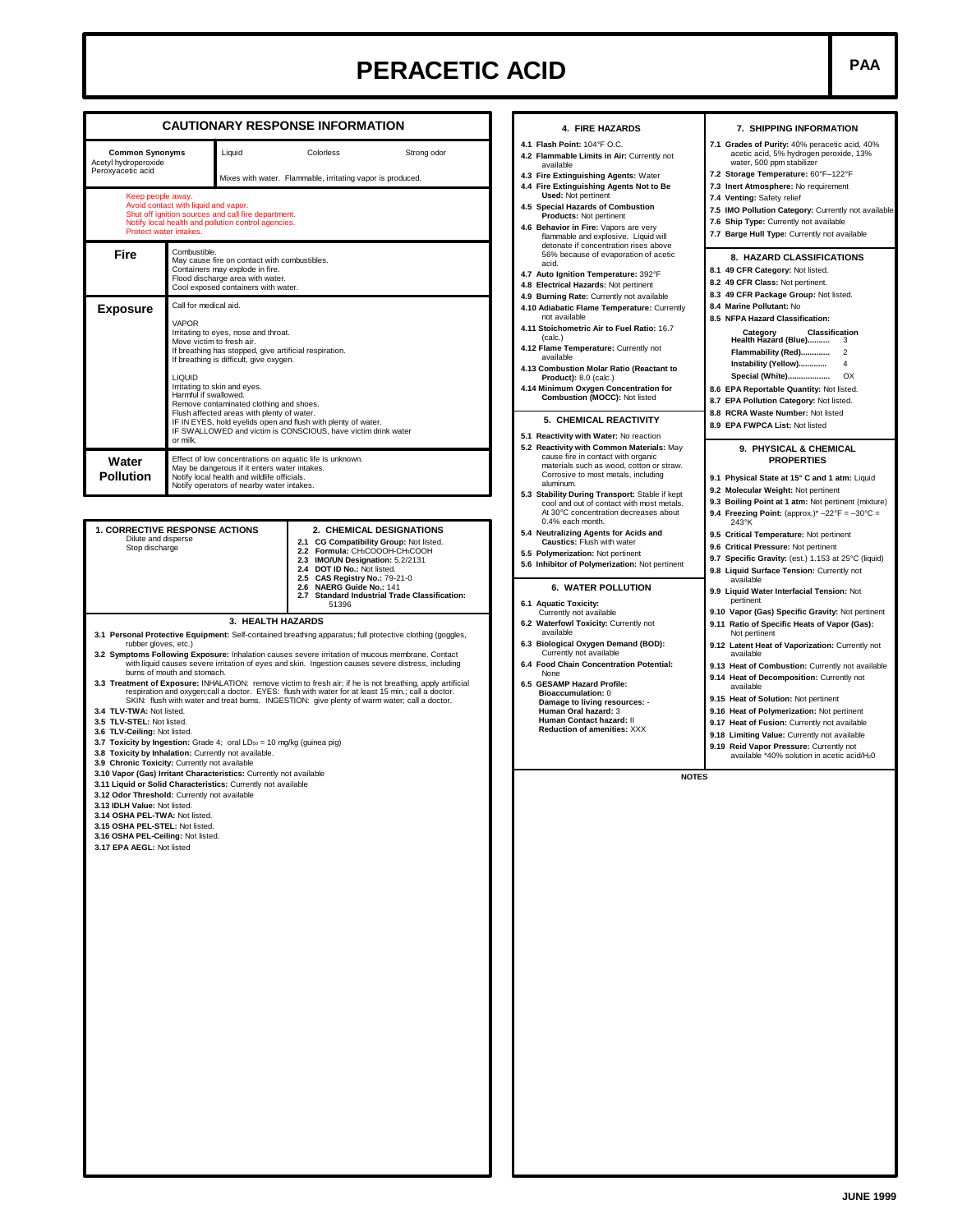## **PERACETIC ACID PAA**

|                                                                                                                                                                                                                                                                                                                                                                                                                                                                                                                                                                                                                                                                                                                                                                                                                                                                                                                                                                                                                                                                                                                                                                                                                                                                                                                                                               |                                                                                                                                                                                                                                                                                                                                                                                                                                                                                                                      |                                                                                                  | <b>CAUTIONARY RESPONSE INFORMATION</b>                                                                                                                                                                                                                                                                   | 4. FIRE HAZARDS                                                                                                                                                                                                                                                                                                                                                                                                                                    | 7. SHIPPING INFORMATION                                                                                                                                                                                                                                                                                                                                                                                                                                                                                                                                                        |  |  |
|---------------------------------------------------------------------------------------------------------------------------------------------------------------------------------------------------------------------------------------------------------------------------------------------------------------------------------------------------------------------------------------------------------------------------------------------------------------------------------------------------------------------------------------------------------------------------------------------------------------------------------------------------------------------------------------------------------------------------------------------------------------------------------------------------------------------------------------------------------------------------------------------------------------------------------------------------------------------------------------------------------------------------------------------------------------------------------------------------------------------------------------------------------------------------------------------------------------------------------------------------------------------------------------------------------------------------------------------------------------|----------------------------------------------------------------------------------------------------------------------------------------------------------------------------------------------------------------------------------------------------------------------------------------------------------------------------------------------------------------------------------------------------------------------------------------------------------------------------------------------------------------------|--------------------------------------------------------------------------------------------------|----------------------------------------------------------------------------------------------------------------------------------------------------------------------------------------------------------------------------------------------------------------------------------------------------------|----------------------------------------------------------------------------------------------------------------------------------------------------------------------------------------------------------------------------------------------------------------------------------------------------------------------------------------------------------------------------------------------------------------------------------------------------|--------------------------------------------------------------------------------------------------------------------------------------------------------------------------------------------------------------------------------------------------------------------------------------------------------------------------------------------------------------------------------------------------------------------------------------------------------------------------------------------------------------------------------------------------------------------------------|--|--|
| <b>Common Synonyms</b><br>Acetyl hydroperoxide<br>Peroxyacetic acid                                                                                                                                                                                                                                                                                                                                                                                                                                                                                                                                                                                                                                                                                                                                                                                                                                                                                                                                                                                                                                                                                                                                                                                                                                                                                           |                                                                                                                                                                                                                                                                                                                                                                                                                                                                                                                      | Liquid<br>Colorless<br>Strong odor<br>Mixes with water. Flammable, irritating vapor is produced. |                                                                                                                                                                                                                                                                                                          | 4.1 Flash Point: 104°F O.C.<br>4.2 Flammable Limits in Air: Currently not<br>available<br>4.3 Fire Extinguishing Agents: Water                                                                                                                                                                                                                                                                                                                     | 7.1 Grades of Purity: 40% peracetic acid, 40%<br>acetic acid, 5% hydrogen peroxide, 13%<br>water, 500 ppm stabilizer<br>7.2 Storage Temperature: 60°F-122°F                                                                                                                                                                                                                                                                                                                                                                                                                    |  |  |
| Keep people away.<br>Avoid contact with liquid and vapor.<br>Shut off ignition sources and call fire department.<br>Notify local health and pollution control agencies.<br>Protect water intakes.                                                                                                                                                                                                                                                                                                                                                                                                                                                                                                                                                                                                                                                                                                                                                                                                                                                                                                                                                                                                                                                                                                                                                             |                                                                                                                                                                                                                                                                                                                                                                                                                                                                                                                      |                                                                                                  |                                                                                                                                                                                                                                                                                                          | 4.4 Fire Extinguishing Agents Not to Be<br><b>Used: Not pertinent</b><br>4.5 Special Hazards of Combustion<br>Products: Not pertinent<br>4.6 Behavior in Fire: Vapors are very<br>flammable and explosive. Liquid will                                                                                                                                                                                                                             | 7.3 Inert Atmosphere: No requirement<br>7.4 Venting: Safety relief<br>7.5 IMO Pollution Category: Currently not availabl<br>7.6 Ship Type: Currently not available<br>7.7 Barge Hull Type: Currently not available                                                                                                                                                                                                                                                                                                                                                             |  |  |
| Fire                                                                                                                                                                                                                                                                                                                                                                                                                                                                                                                                                                                                                                                                                                                                                                                                                                                                                                                                                                                                                                                                                                                                                                                                                                                                                                                                                          | Combustible.<br>May cause fire on contact with combustibles.<br>Containers may explode in fire.<br>Flood discharge area with water.<br>Cool exposed containers with water.                                                                                                                                                                                                                                                                                                                                           |                                                                                                  |                                                                                                                                                                                                                                                                                                          | detonate if concentration rises above<br>56% because of evaporation of acetic<br>acid.<br>4.7 Auto Ignition Temperature: 392°F<br>4.8 Electrical Hazards: Not pertinent                                                                                                                                                                                                                                                                            | 8. HAZARD CLASSIFICATIONS<br>8.1 49 CFR Category: Not listed.<br>8.2 49 CFR Class: Not pertinent.<br>8.3 49 CFR Package Group: Not listed.<br>8.4 Marine Pollutant: No<br>8.5 NFPA Hazard Classification:<br>Category Classif<br>Health Hazard (Blue)<br>Classification<br>-3<br>Flammability (Red)<br>$\overline{2}$<br>Instability (Yellow)<br>4<br><b>Special (White)</b><br>OX<br>8.6 EPA Reportable Quantity: Not listed.<br>8.7 EPA Pollution Category: Not listed.<br>8.8 RCRA Waste Number: Not listed<br>8.9 EPA FWPCA List: Not listed                               |  |  |
| <b>Exposure</b>                                                                                                                                                                                                                                                                                                                                                                                                                                                                                                                                                                                                                                                                                                                                                                                                                                                                                                                                                                                                                                                                                                                                                                                                                                                                                                                                               | Call for medical aid.<br><b>VAPOR</b><br>Irritating to eyes, nose and throat.<br>Move victim to fresh air.<br>If breathing has stopped, give artificial respiration.<br>If breathing is difficult, give oxygen.<br><b>LIQUID</b><br>Irritating to skin and eyes.<br>Harmful if swallowed.<br>Remove contaminated clothing and shoes.<br>Flush affected areas with plenty of water.<br>IF IN EYES, hold eyelids open and flush with plenty of water.<br>IF SWALLOWED and victim is CONSCIOUS, have victim drink water |                                                                                                  |                                                                                                                                                                                                                                                                                                          | 4.9 Burning Rate: Currently not available<br>4.10 Adiabatic Flame Temperature: Currently<br>not available<br>4.11 Stoichometric Air to Fuel Ratio: 16.7<br>(calc.)<br>4.12 Flame Temperature: Currently not<br>available<br>4.13 Combustion Molar Ratio (Reactant to<br><b>Product):</b> 8.0 (calc.)<br>4.14 Minimum Oxygen Concentration for<br>Combustion (MOCC): Not listed<br>5. CHEMICAL REACTIVITY<br>5.1 Reactivity with Water: No reaction |                                                                                                                                                                                                                                                                                                                                                                                                                                                                                                                                                                                |  |  |
| Water<br><b>Pollution</b>                                                                                                                                                                                                                                                                                                                                                                                                                                                                                                                                                                                                                                                                                                                                                                                                                                                                                                                                                                                                                                                                                                                                                                                                                                                                                                                                     | or milk.<br>Effect of low concentrations on aquatic life is unknown.<br>May be dangerous if it enters water intakes.<br>Notify local health and wildlife officials.<br>Notify operators of nearby water intakes.                                                                                                                                                                                                                                                                                                     |                                                                                                  |                                                                                                                                                                                                                                                                                                          | 5.2 Reactivity with Common Materials: May<br>cause fire in contact with organic<br>materials such as wood, cotton or straw.<br>Corrosive to most metals, including<br>aluminum.<br>5.3 Stability During Transport: Stable if kept<br>cool and out of contact with most metals.<br>At 30°C concentration decreases about                                                                                                                            | 9. PHYSICAL & CHEMICAL<br><b>PROPERTIES</b><br>9.1 Physical State at 15° C and 1 atm: Liquid<br>9.2 Molecular Weight: Not pertinent<br>9.3 Boiling Point at 1 atm: Not pertinent (mixture)<br>9.4 Freezing Point: (approx.)* $-22^{\circ}F = -30^{\circ}C =$                                                                                                                                                                                                                                                                                                                   |  |  |
| 1. CORRECTIVE RESPONSE ACTIONS<br>Dilute and disperse<br>Stop discharge                                                                                                                                                                                                                                                                                                                                                                                                                                                                                                                                                                                                                                                                                                                                                                                                                                                                                                                                                                                                                                                                                                                                                                                                                                                                                       |                                                                                                                                                                                                                                                                                                                                                                                                                                                                                                                      |                                                                                                  | 2. CHEMICAL DESIGNATIONS<br>2.1 CG Compatibility Group: Not listed.<br>2.2 Formula: CH3COOOH-CH3COOH<br>2.3 IMO/UN Designation: 5.2/2131<br>2.4 DOT ID No.: Not listed.<br>2.5 CAS Registry No.: 79-21-0<br>2.6 NAERG Guide No.: 141<br><b>Standard Industrial Trade Classification:</b><br>2.7<br>51396 | 0.4% each month.<br>5.4 Neutralizing Agents for Acids and<br>Caustics: Flush with water<br>5.5 Polymerization: Not pertinent<br>5.6 Inhibitor of Polymerization: Not pertinent<br><b>6. WATER POLLUTION</b><br>6.1 Aquatic Toxicity:                                                                                                                                                                                                               | 243°K<br>9.5 Critical Temperature: Not pertinent<br>9.6 Critical Pressure: Not pertinent<br>9.7 Specific Gravity: (est.) 1.153 at 25°C (liquid)<br>9.8 Liquid Surface Tension: Currently not<br>available<br>9.9 Liquid Water Interfacial Tension: Not<br>pertinent                                                                                                                                                                                                                                                                                                            |  |  |
| 3. HEALTH HAZARDS<br>3.1 Personal Protective Equipment: Self-contained breathing apparatus; full protective clothing (goggles,<br>rubber gloves, etc.)<br>3.2 Symptoms Following Exposure: Inhalation causes severe irritation of mucous membrane. Contact<br>with liquid causes severe irritation of eyes and skin. Ingestion causes severe distress, including<br>burns of mouth and stomach.<br>3.3 Treatment of Exposure: INHALATION: remove victim to fresh air; if he is not breathing, apply artificial<br>respiration and oxygen;call a doctor. EYES: flush with water for at least 15 min.; call a doctor.<br>SKIN: flush with water and treat burns. INGESTION: give plenty of warm water; call a doctor.<br>3.4 TLV-TWA: Not listed.<br>3.5 TLV-STEL: Not listed.<br>3.6 TLV-Ceiling: Not listed.<br>3.7 Toxicity by Ingestion: Grade 4; oral LDso = 10 mg/kg (quinea pig)<br>3.8 Toxicity by Inhalation: Currently not available.<br>3.9 Chronic Toxicity: Currently not available<br>3.10 Vapor (Gas) Irritant Characteristics: Currently not available<br>3.11 Liquid or Solid Characteristics: Currently not available<br>3.12 Odor Threshold: Currently not available<br>3.13 IDLH Value: Not listed.<br>3.14 OSHA PEL-TWA: Not listed.<br>3.15 OSHA PEL-STEL: Not listed.<br>3.16 OSHA PEL-Ceiling: Not listed.<br>3.17 EPA AEGL: Not listed |                                                                                                                                                                                                                                                                                                                                                                                                                                                                                                                      |                                                                                                  |                                                                                                                                                                                                                                                                                                          | Currently not available<br>6.2 Waterfowl Toxicity: Currently not<br>available<br>6.3 Biological Oxygen Demand (BOD):<br>Currently not available<br>6.4 Food Chain Concentration Potential:<br>None<br>6.5 GESAMP Hazard Profile:<br><b>Bioaccumulation: 0</b><br>Damage to living resources: -<br>Human Oral hazard: 3<br>Human Contact hazard: II<br><b>Reduction of amenities: XXX</b><br><b>NOTES</b>                                           | 9.10 Vapor (Gas) Specific Gravity: Not pertinent<br>9.11 Ratio of Specific Heats of Vapor (Gas):<br>Not pertinent<br>9.12 Latent Heat of Vaporization: Currently not<br>available<br>9.13 Heat of Combustion: Currently not available<br>9.14 Heat of Decomposition: Currently not<br>available<br>9.15 Heat of Solution: Not pertinent<br>9.16 Heat of Polymerization: Not pertinent<br>9.17 Heat of Fusion: Currently not available<br>9.18 Limiting Value: Currently not available<br>9.19 Reid Vapor Pressure: Currently not<br>available *40% solution in acetic acid/H20 |  |  |